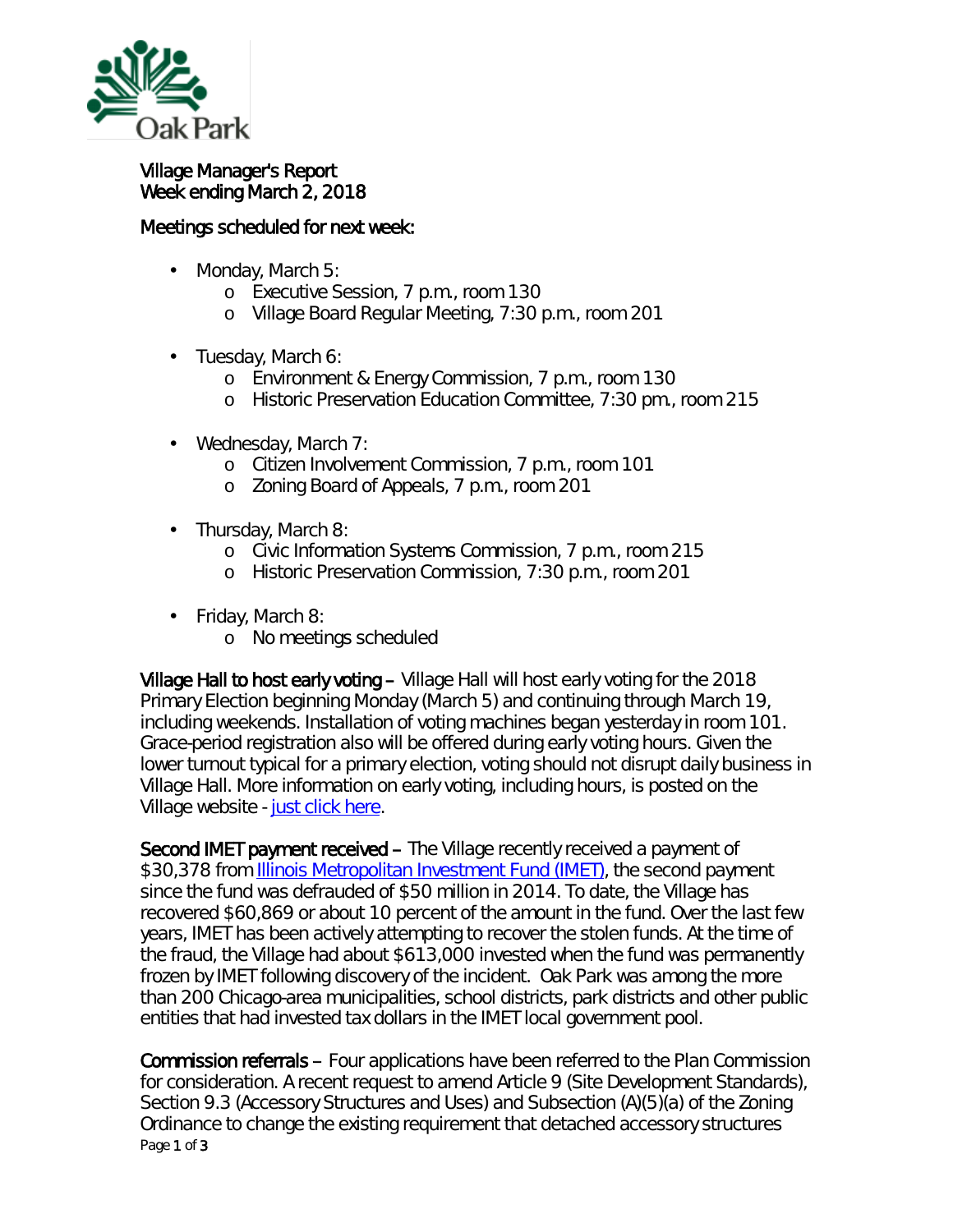

## Village Manager's Report Week ending March 2, 2018

## Meetings scheduled for next week:

- Monday, March 5: ä,
	- o Executive Session, 7 p.m., room 130
	- o Village Board Regular Meeting, 7:30 p.m., room 201
- Tuesday, March 6:
	- o Environment & Energy Commission, 7 p.m., room 130
	- o Historic Preservation Education Committee, 7:30 pm., room 215
- Wednesday, March 7:
	- o Citizen Involvement Commission, 7 p.m., room 101
	- o Zoning Board of Appeals, 7 p.m., room 201
- Thursday, March 8:
	- o Civic Information Systems Commission, 7 p.m., room 215
	- o Historic Preservation Commission, 7:30 p.m., room 201
- Friday, March 8:
	- o No meetings scheduled

Village Hall to host early voting – Village Hall will host early voting for the 2018 Primary Election beginning Monday (March 5) and continuing through March 19, including weekends. Installation of voting machines began yesterday in room 101. Grace-period registration also will be offered during early voting hours. Given the lower turnout typical for a primary election, voting should not disrupt daily business in Village Hall. More information on early voting, including hours, is posted on the Village website - [just click here.](https://www.oak-park.us/news/village-hall-host-early-voting)

Second IMET payment received – The Village recently received a payment of \$30,378 from **[Illinois Metropolitan Investment Fund](http://www.investimet.com/about.php) (IMET)**, the second payment since the fund was defrauded of \$50 million in 2014. To date, the Village has recovered \$60,869 or about 10 percent of the amount in the fund. Over the last few years, IMET has been actively attempting to recover the stolen funds. At the time of the fraud, the Village had about \$613,000 invested when the fund was permanently frozen by IMET following discovery of the incident. Oak Park was among the more than 200 Chicago-area municipalities, school districts, park districts and other public entities that had invested tax dollars in the IMET local government pool.

Page 1 of 3 Commission referrals – Four applications have been referred to the Plan Commission for consideration. A recent request to amend Article 9 (Site Development Standards), Section 9.3 (Accessory Structures and Uses) and Subsection (A)(5)(a) of the Zoning Ordinance to change the existing requirement that detached accessory structures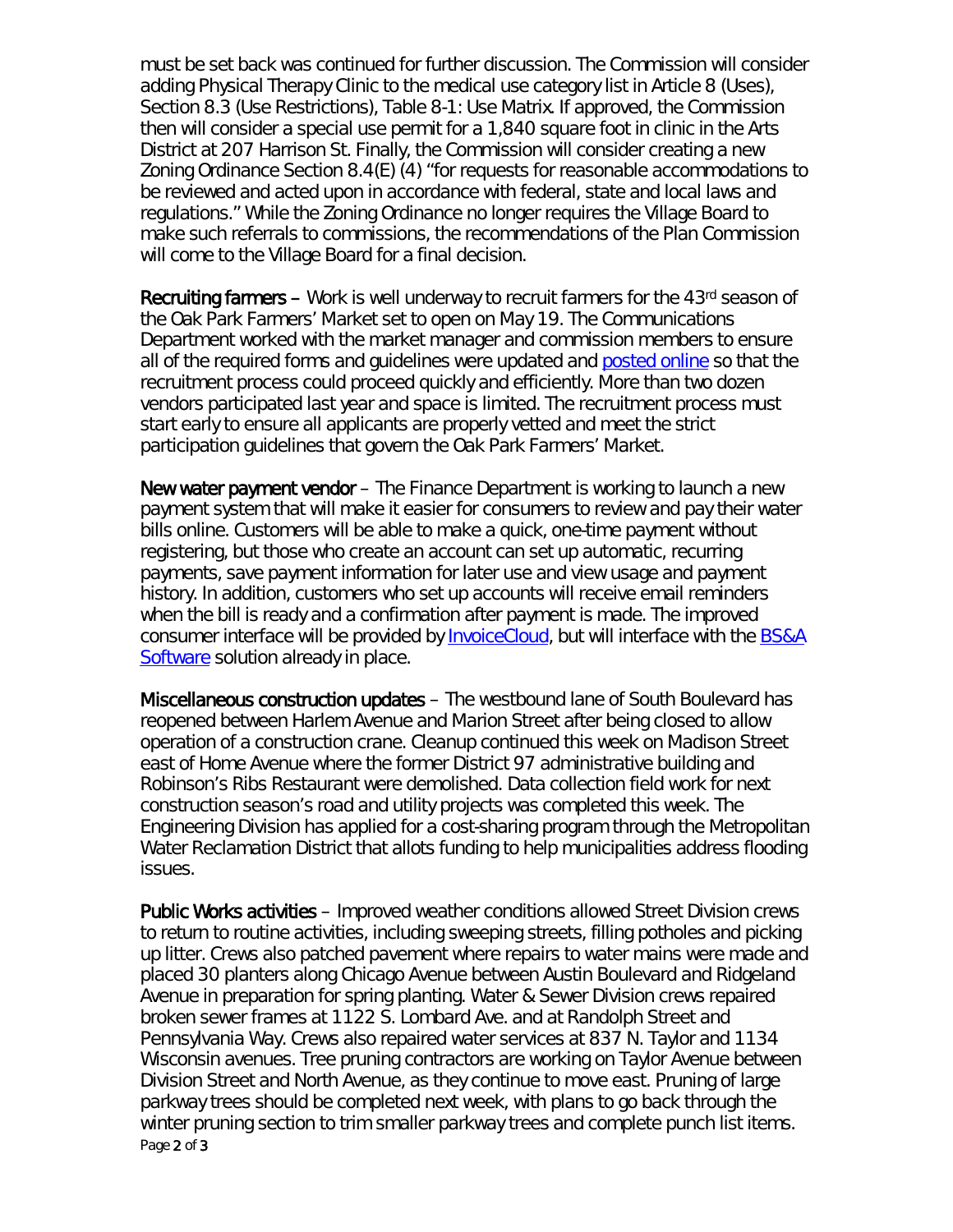must be set back was continued for further discussion. The Commission will consider adding *Physical Therapy Clinic* to the medical use category list in Article 8 (Uses), Section 8.3 (Use Restrictions), Table 8-1: Use Matrix. If approved, the Commission then will consider a special use permit for a 1,840 square foot in clinic in the Arts District at 207 Harrison St. Finally, the Commission will consider creating a new Zoning Ordinance Section 8.4(E) (4) "for requests for reasonable accommodations to be reviewed and acted upon in accordance with federal, state and local laws and regulations." While the Zoning Ordinance no longer requires the Village Board to make such referrals to commissions, the recommendations of the Plan Commission will come to the Village Board for a final decision.

Recruiting farmers – Work is well underway to recruit farmers for the 43<sup>rd</sup> season of the Oak Park Farmers' Market set to open on May 19. The Communications Department worked with the market manager and commission members to ensure all of the required forms and guidelines were updated and [posted online](https://www.oak-park.us/our-community/farmers-market/documents-applications) so that the recruitment process could proceed quickly and efficiently. More than two dozen vendors participated last year and space is limited. The recruitment process must start early to ensure all applicants are properly vetted and meet the strict participation guidelines that govern the Oak Park Farmers' Market.

New water payment vendor – The Finance Department is working to launch a new payment system that will make it easier for consumers to review and pay their water bills online. Customers will be able to make a quick, one-time payment without registering, but those who create an account can set up automatic, recurring payments, save payment information for later use and view usage and payment history. In addition, customers who set up accounts will receive email reminders when the bill is ready and a confirmation after payment is made. The improved consumer interface will be provided by [InvoiceCloud,](http://www.invoicecloud.net/) but will interface with the [BS&A](http://www.bsasoftware.com/)  [Software](http://www.bsasoftware.com/) solution already in place.

Miscellaneous construction updates – The westbound lane of South Boulevard has reopened between Harlem Avenue and Marion Street after being closed to allow operation of a construction crane. Cleanup continued this week on Madison Street east of Home Avenue where the former District 97 administrative building and Robinson's Ribs Restaurant were demolished. Data collection field work for next construction season's road and utility projects was completed this week. The Engineering Division has applied for a cost-sharing program through the Metropolitan Water Reclamation District that allots funding to help municipalities address flooding issues.

Page 2 of 3 Public Works activities – Improved weather conditions allowed Street Division crews to return to routine activities, including sweeping streets, filling potholes and picking up litter. Crews also patched pavement where repairs to water mains were made and placed 30 planters along Chicago Avenue between Austin Boulevard and Ridgeland Avenue in preparation for spring planting. Water & Sewer Division crews repaired broken sewer frames at 1122 S. Lombard Ave. and at Randolph Street and Pennsylvania Way. Crews also repaired water services at 837 N. Taylor and 1134 Wisconsin avenues. Tree pruning contractors are working on Taylor Avenue between Division Street and North Avenue, as they continue to move east. Pruning of large parkway trees should be completed next week, with plans to go back through the winter pruning section to trim smaller parkway trees and complete punch list items.